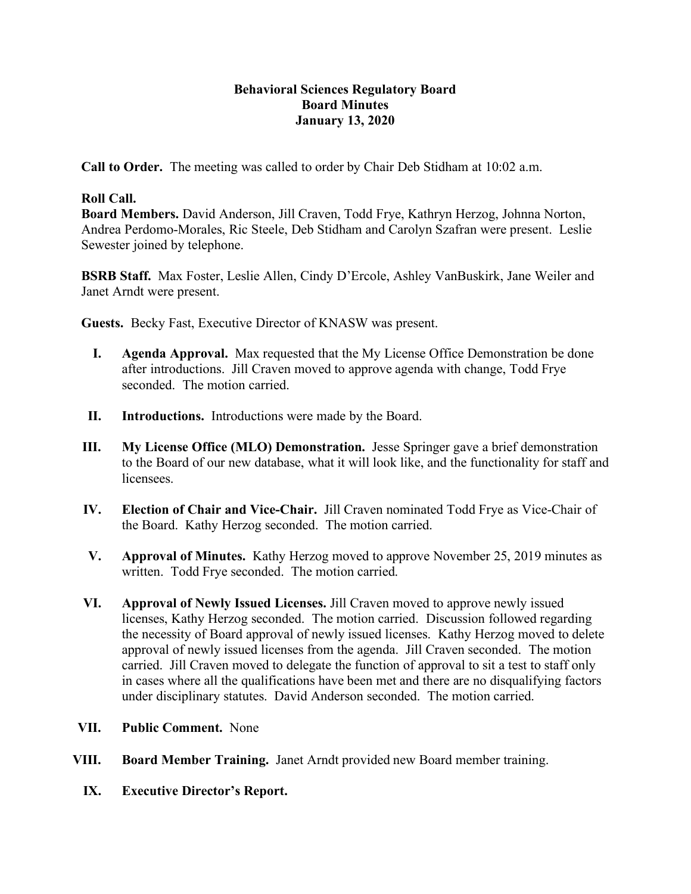## **Behavioral Sciences Regulatory Board Board Minutes January 13, 2020**

**Call to Order.** The meeting was called to order by Chair Deb Stidham at 10:02 a.m.

## **Roll Call.**

**Board Members.** David Anderson, Jill Craven, Todd Frye, Kathryn Herzog, Johnna Norton, Andrea Perdomo-Morales, Ric Steele, Deb Stidham and Carolyn Szafran were present. Leslie Sewester joined by telephone.

**BSRB Staff.** Max Foster, Leslie Allen, Cindy D'Ercole, Ashley VanBuskirk, Jane Weiler and Janet Arndt were present.

**Guests.** Becky Fast, Executive Director of KNASW was present.

- **I. Agenda Approval.** Max requested that the My License Office Demonstration be done after introductions. Jill Craven moved to approve agenda with change, Todd Frye seconded. The motion carried.
- **II. Introductions.** Introductions were made by the Board.
- **III.** My License Office (MLO) Demonstration. Jesse Springer gave a brief demonstration to the Board of our new database, what it will look like, and the functionality for staff and licensees.
- **IV. Election of Chair and Vice-Chair.** Jill Craven nominated Todd Frye as Vice-Chair of the Board. Kathy Herzog seconded. The motion carried.
- **V. Approval of Minutes.** Kathy Herzog moved to approve November 25, 2019 minutes as written. Todd Frye seconded. The motion carried.
- **VI. Approval of Newly Issued Licenses.** Jill Craven moved to approve newly issued licenses, Kathy Herzog seconded. The motion carried. Discussion followed regarding the necessity of Board approval of newly issued licenses. Kathy Herzog moved to delete approval of newly issued licenses from the agenda. Jill Craven seconded. The motion carried. Jill Craven moved to delegate the function of approval to sit a test to staff only in cases where all the qualifications have been met and there are no disqualifying factors under disciplinary statutes. David Anderson seconded. The motion carried.
- **VII. Public Comment.** None
- **VIII. Board Member Training.** Janet Arndt provided new Board member training.
	- **IX. Executive Director's Report.**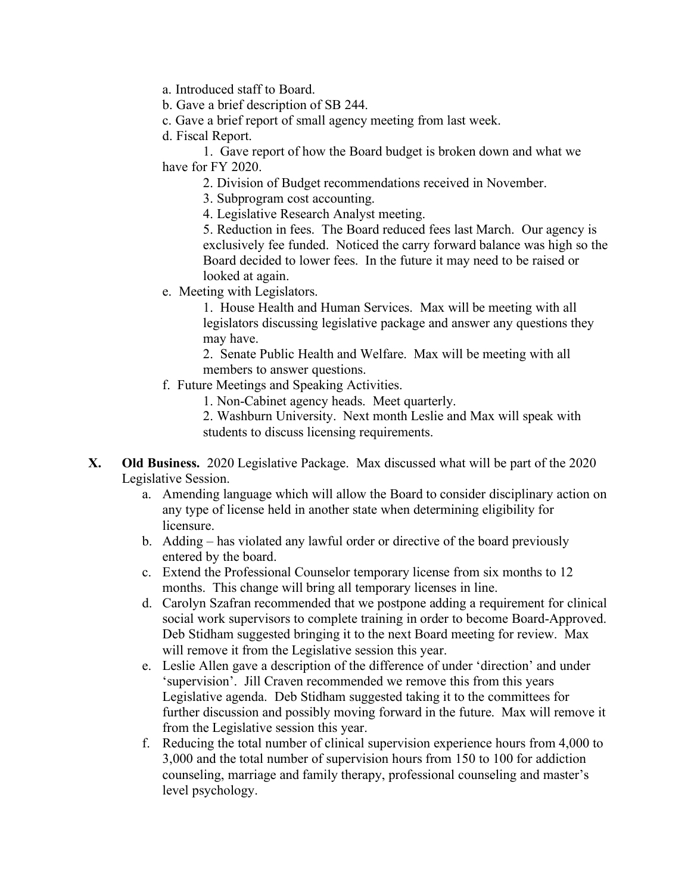a. Introduced staff to Board.

b. Gave a brief description of SB 244.

c. Gave a brief report of small agency meeting from last week.

d. Fiscal Report.

1. Gave report of how the Board budget is broken down and what we have for FY 2020.

2. Division of Budget recommendations received in November.

3. Subprogram cost accounting.

4. Legislative Research Analyst meeting.

 5. Reduction in fees. The Board reduced fees last March. Our agency is exclusively fee funded. Noticed the carry forward balance was high so the Board decided to lower fees. In the future it may need to be raised or looked at again.

e. Meeting with Legislators.

1. House Health and Human Services. Max will be meeting with all legislators discussing legislative package and answer any questions they may have.

2. Senate Public Health and Welfare. Max will be meeting with all members to answer questions.

f. Future Meetings and Speaking Activities.

1. Non-Cabinet agency heads. Meet quarterly.

2. Washburn University. Next month Leslie and Max will speak with students to discuss licensing requirements.

- **X. Old Business.** 2020 Legislative Package. Max discussed what will be part of the 2020 Legislative Session.
	- a. Amending language which will allow the Board to consider disciplinary action on any type of license held in another state when determining eligibility for licensure.
	- b. Adding has violated any lawful order or directive of the board previously entered by the board.
	- c. Extend the Professional Counselor temporary license from six months to 12 months. This change will bring all temporary licenses in line.
	- d. Carolyn Szafran recommended that we postpone adding a requirement for clinical social work supervisors to complete training in order to become Board-Approved. Deb Stidham suggested bringing it to the next Board meeting for review. Max will remove it from the Legislative session this year.
	- e. Leslie Allen gave a description of the difference of under 'direction' and under 'supervision'. Jill Craven recommended we remove this from this years Legislative agenda. Deb Stidham suggested taking it to the committees for further discussion and possibly moving forward in the future. Max will remove it from the Legislative session this year.
	- f. Reducing the total number of clinical supervision experience hours from 4,000 to 3,000 and the total number of supervision hours from 150 to 100 for addiction counseling, marriage and family therapy, professional counseling and master's level psychology.